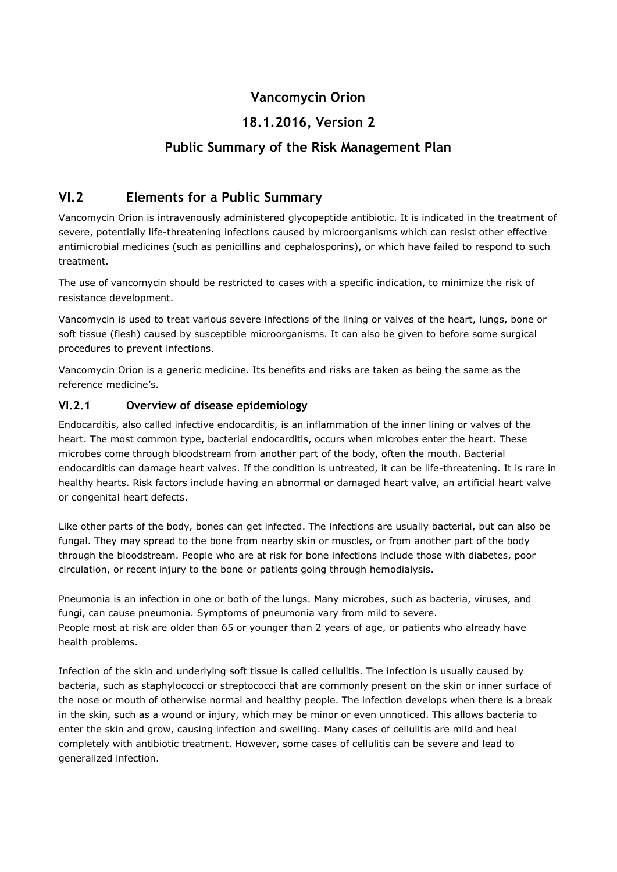# **Vancomycin Orion**

# **18.1.2016, Version 2**

# **Public Summary of the Risk Management Plan**

# **VI.2 Elements for a Public Summary**

Vancomycin Orion is intravenously administered glycopeptide antibiotic. It is indicated in the treatment of severe, potentially life-threatening infections caused by microorganisms which can resist other effective antimicrobial medicines (such as penicillins and cephalosporins), or which have failed to respond to such treatment.

The use of vancomycin should be restricted to cases with a specific indication, to minimize the risk of resistance development.

Vancomycin is used to treat various severe infections of the lining or valves of the heart, lungs, bone or soft tissue (flesh) caused by susceptible microorganisms. It can also be given to before some surgical procedures to prevent infections.

Vancomycin Orion is a generic medicine. Its benefits and risks are taken as being the same as the reference medicine's.

### **VI.2.1 Overview of disease epidemiology**

Endocarditis, also called infective endocarditis, is an inflammation of the inner lining or valves of the heart. The most common type, bacterial endocarditis, occurs when microbes enter the heart. These microbes come through bloodstream from another part of the body, often the mouth. Bacterial endocarditis can damage heart valves. If the condition is untreated, it can be life-threatening. It is rare in healthy hearts. Risk factors include having an abnormal or damaged heart valve, an artificial heart valve or congenital heart defects.

Like other parts of the body, bones can get infected. The infections are usually bacterial, but can also be fungal. They may spread to the bone from nearby skin or muscles, or from another part of the body through the bloodstream. People who are at risk for bone infections include those with diabetes, poor circulation, or recent injury to the bone or patients going through hemodialysis.

Pneumonia is an infection in one or both of the lungs. Many microbes, such as bacteria, viruses, and fungi, can cause pneumonia. Symptoms of pneumonia vary from mild to severe. People most at risk are older than 65 or younger than 2 years of age, or patients who already have health problems.

Infection of the skin and underlying soft tissue is called cellulitis. The infection is usually caused by bacteria, such as staphylococci or streptococci that are commonly present on the skin or inner surface of the nose or mouth of otherwise normal and healthy people. The infection develops when there is a break in the skin, such as a wound or injury, which may be minor or even unnoticed. This allows bacteria to enter the skin and grow, causing infection and swelling. Many cases of cellulitis are mild and heal completely with antibiotic treatment. However, some cases of cellulitis can be severe and lead to generalized infection.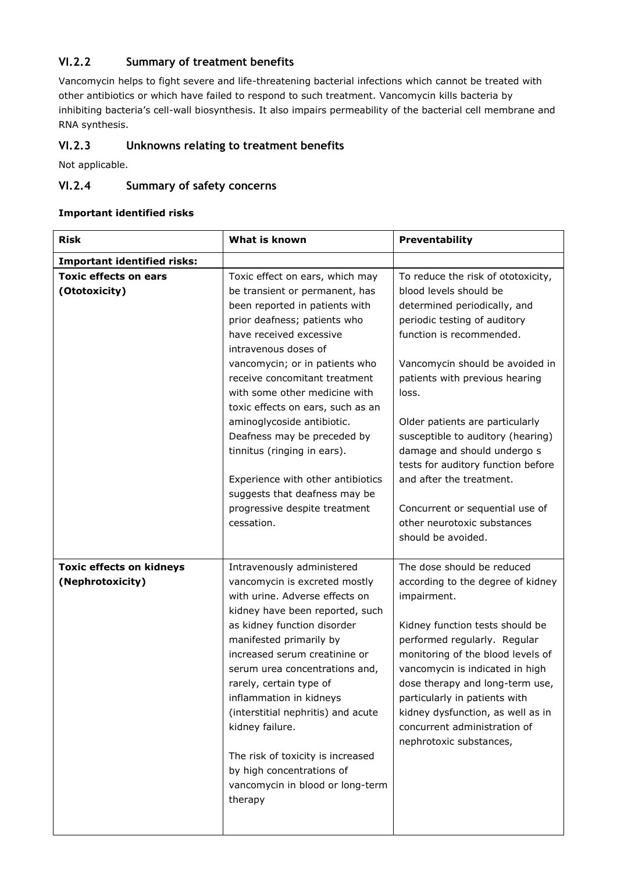# **VI.2.2 Summary of treatment benefits**

Vancomycin helps to fight severe and life-threatening bacterial infections which cannot be treated with other antibiotics or which have failed to respond to such treatment. Vancomycin kills bacteria by inhibiting bacteria's cell-wall biosynthesis. It also impairs permeability of the bacterial cell membrane and RNA synthesis.

### **VI.2.3 Unknowns relating to treatment benefits**

Not applicable.

### **VI.2.4 Summary of safety concerns**

#### **Important identified risks**

| <b>Risk</b>                                         | What is known                                                                                                                                                                                                                                                                                                                                                                                                                                                                                                                                    | Preventability                                                                                                                                                                                                                                                                                                                                                                                                                                                                    |
|-----------------------------------------------------|--------------------------------------------------------------------------------------------------------------------------------------------------------------------------------------------------------------------------------------------------------------------------------------------------------------------------------------------------------------------------------------------------------------------------------------------------------------------------------------------------------------------------------------------------|-----------------------------------------------------------------------------------------------------------------------------------------------------------------------------------------------------------------------------------------------------------------------------------------------------------------------------------------------------------------------------------------------------------------------------------------------------------------------------------|
| <b>Important identified risks:</b>                  |                                                                                                                                                                                                                                                                                                                                                                                                                                                                                                                                                  |                                                                                                                                                                                                                                                                                                                                                                                                                                                                                   |
| <b>Toxic effects on ears</b><br>(Ototoxicity)       | Toxic effect on ears, which may<br>be transient or permanent, has<br>been reported in patients with<br>prior deafness; patients who<br>have received excessive<br>intravenous doses of<br>vancomycin; or in patients who<br>receive concomitant treatment<br>with some other medicine with<br>toxic effects on ears, such as an<br>aminoglycoside antibiotic.<br>Deafness may be preceded by<br>tinnitus (ringing in ears).<br>Experience with other antibiotics<br>suggests that deafness may be<br>progressive despite treatment<br>cessation. | To reduce the risk of ototoxicity,<br>blood levels should be<br>determined periodically, and<br>periodic testing of auditory<br>function is recommended.<br>Vancomycin should be avoided in<br>patients with previous hearing<br>loss.<br>Older patients are particularly<br>susceptible to auditory (hearing)<br>damage and should undergo s<br>tests for auditory function before<br>and after the treatment.<br>Concurrent or sequential use of<br>other neurotoxic substances |
|                                                     |                                                                                                                                                                                                                                                                                                                                                                                                                                                                                                                                                  | should be avoided.                                                                                                                                                                                                                                                                                                                                                                                                                                                                |
| <b>Toxic effects on kidneys</b><br>(Nephrotoxicity) | Intravenously administered<br>vancomycin is excreted mostly<br>with urine. Adverse effects on<br>kidney have been reported, such<br>as kidney function disorder<br>manifested primarily by<br>increased serum creatinine or<br>serum urea concentrations and,<br>rarely, certain type of<br>inflammation in kidneys<br>(interstitial nephritis) and acute<br>kidney failure.<br>The risk of toxicity is increased<br>by high concentrations of<br>vancomycin in blood or long-term<br>therapy                                                    | The dose should be reduced<br>according to the degree of kidney<br>impairment.<br>Kidney function tests should be<br>performed regularly. Regular<br>monitoring of the blood levels of<br>vancomycin is indicated in high<br>dose therapy and long-term use,<br>particularly in patients with<br>kidney dysfunction, as well as in<br>concurrent administration of<br>nephrotoxic substances,                                                                                     |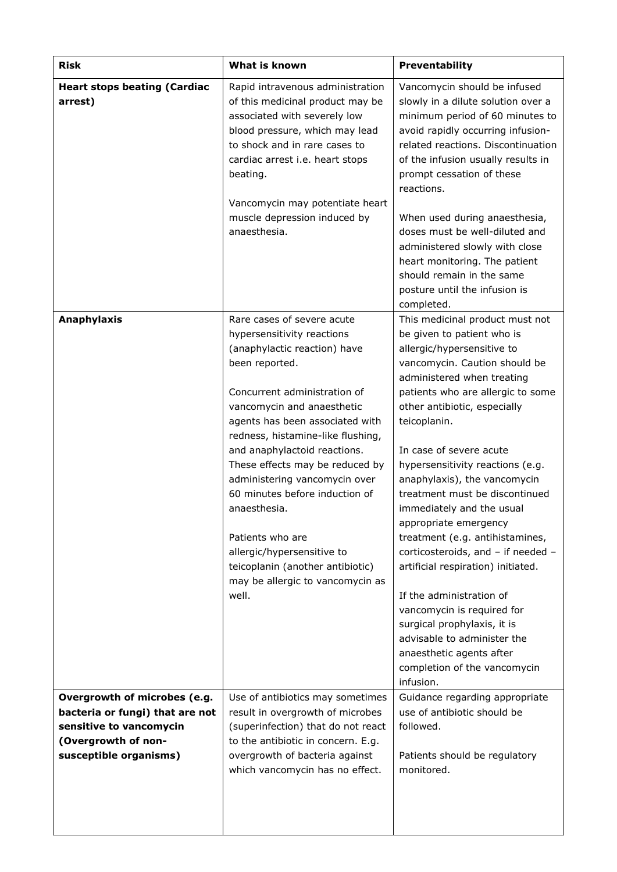| <b>Risk</b>                                                                                                                                 | What is known                                                                                                                                                                                                                                                                                                                                                                                                                                                                                                                             | Preventability                                                                                                                                                                                                                                                                                                                                                                                                                                                                                                                                                                                                                                                                                                                                         |
|---------------------------------------------------------------------------------------------------------------------------------------------|-------------------------------------------------------------------------------------------------------------------------------------------------------------------------------------------------------------------------------------------------------------------------------------------------------------------------------------------------------------------------------------------------------------------------------------------------------------------------------------------------------------------------------------------|--------------------------------------------------------------------------------------------------------------------------------------------------------------------------------------------------------------------------------------------------------------------------------------------------------------------------------------------------------------------------------------------------------------------------------------------------------------------------------------------------------------------------------------------------------------------------------------------------------------------------------------------------------------------------------------------------------------------------------------------------------|
| <b>Heart stops beating (Cardiac</b><br>arrest)                                                                                              | Rapid intravenous administration<br>of this medicinal product may be<br>associated with severely low<br>blood pressure, which may lead<br>to shock and in rare cases to<br>cardiac arrest i.e. heart stops<br>beating.<br>Vancomycin may potentiate heart<br>muscle depression induced by<br>anaesthesia.                                                                                                                                                                                                                                 | Vancomycin should be infused<br>slowly in a dilute solution over a<br>minimum period of 60 minutes to<br>avoid rapidly occurring infusion-<br>related reactions. Discontinuation<br>of the infusion usually results in<br>prompt cessation of these<br>reactions.<br>When used during anaesthesia,<br>doses must be well-diluted and<br>administered slowly with close<br>heart monitoring. The patient<br>should remain in the same<br>posture until the infusion is<br>completed.                                                                                                                                                                                                                                                                    |
| <b>Anaphylaxis</b>                                                                                                                          | Rare cases of severe acute<br>hypersensitivity reactions<br>(anaphylactic reaction) have<br>been reported.<br>Concurrent administration of<br>vancomycin and anaesthetic<br>agents has been associated with<br>redness, histamine-like flushing,<br>and anaphylactoid reactions.<br>These effects may be reduced by<br>administering vancomycin over<br>60 minutes before induction of<br>anaesthesia.<br>Patients who are<br>allergic/hypersensitive to<br>teicoplanin (another antibiotic)<br>may be allergic to vancomycin as<br>well. | This medicinal product must not<br>be given to patient who is<br>allergic/hypersensitive to<br>vancomycin. Caution should be<br>administered when treating<br>patients who are allergic to some<br>other antibiotic, especially<br>teicoplanin.<br>In case of severe acute<br>hypersensitivity reactions (e.g.<br>anaphylaxis), the vancomycin<br>treatment must be discontinued<br>immediately and the usual<br>appropriate emergency<br>treatment (e.g. antihistamines,<br>corticosteroids, and - if needed -<br>artificial respiration) initiated.<br>If the administration of<br>vancomycin is required for<br>surgical prophylaxis, it is<br>advisable to administer the<br>anaesthetic agents after<br>completion of the vancomycin<br>infusion. |
| Overgrowth of microbes (e.g.<br>bacteria or fungi) that are not<br>sensitive to vancomycin<br>(Overgrowth of non-<br>susceptible organisms) | Use of antibiotics may sometimes<br>result in overgrowth of microbes<br>(superinfection) that do not react<br>to the antibiotic in concern. E.g.<br>overgrowth of bacteria against<br>which vancomycin has no effect.                                                                                                                                                                                                                                                                                                                     | Guidance regarding appropriate<br>use of antibiotic should be<br>followed.<br>Patients should be regulatory<br>monitored.                                                                                                                                                                                                                                                                                                                                                                                                                                                                                                                                                                                                                              |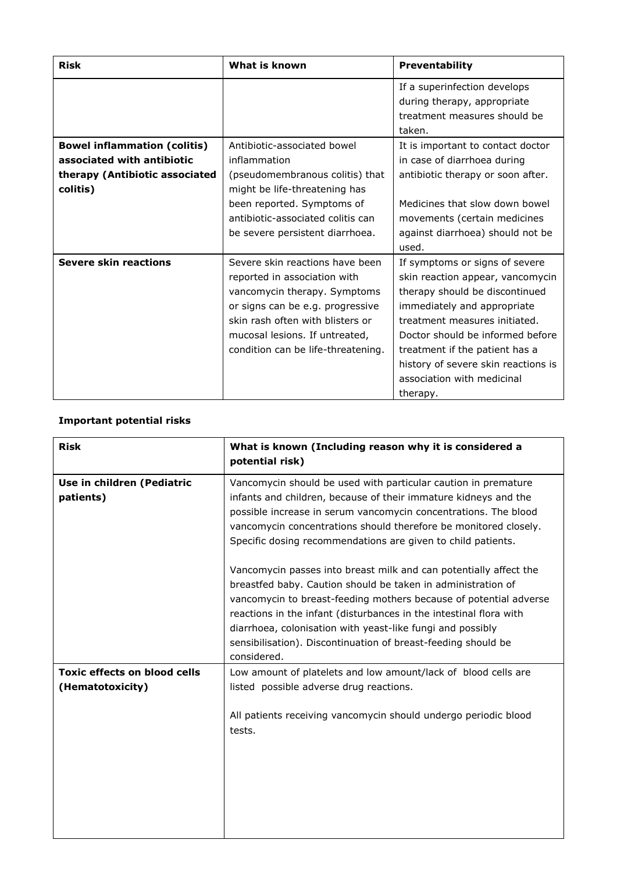| <b>Risk</b>                                                                                                     | What is known                                                                                                                                                                                                                                   | Preventability                                                                                                                                                                                                                                                                                                              |
|-----------------------------------------------------------------------------------------------------------------|-------------------------------------------------------------------------------------------------------------------------------------------------------------------------------------------------------------------------------------------------|-----------------------------------------------------------------------------------------------------------------------------------------------------------------------------------------------------------------------------------------------------------------------------------------------------------------------------|
|                                                                                                                 |                                                                                                                                                                                                                                                 | If a superinfection develops<br>during therapy, appropriate<br>treatment measures should be<br>taken.                                                                                                                                                                                                                       |
| <b>Bowel inflammation (colitis)</b><br>associated with antibiotic<br>therapy (Antibiotic associated<br>colitis) | Antibiotic-associated bowel<br>inflammation<br>(pseudomembranous colitis) that<br>might be life-threatening has<br>been reported. Symptoms of<br>antibiotic-associated colitis can<br>be severe persistent diarrhoea.                           | It is important to contact doctor<br>in case of diarrhoea during<br>antibiotic therapy or soon after.<br>Medicines that slow down bowel<br>movements (certain medicines<br>against diarrhoea) should not be<br>used.                                                                                                        |
| <b>Severe skin reactions</b>                                                                                    | Severe skin reactions have been<br>reported in association with<br>vancomycin therapy. Symptoms<br>or signs can be e.g. progressive<br>skin rash often with blisters or<br>mucosal lesions. If untreated,<br>condition can be life-threatening. | If symptoms or signs of severe<br>skin reaction appear, vancomycin<br>therapy should be discontinued<br>immediately and appropriate<br>treatment measures initiated.<br>Doctor should be informed before<br>treatment if the patient has a<br>history of severe skin reactions is<br>association with medicinal<br>therapy. |

# **Important potential risks**

| <b>Risk</b>                                             | What is known (Including reason why it is considered a<br>potential risk)                                                                                                                                                                                                                                                                                                                                                  |
|---------------------------------------------------------|----------------------------------------------------------------------------------------------------------------------------------------------------------------------------------------------------------------------------------------------------------------------------------------------------------------------------------------------------------------------------------------------------------------------------|
| Use in children (Pediatric<br>patients)                 | Vancomycin should be used with particular caution in premature<br>infants and children, because of their immature kidneys and the<br>possible increase in serum vancomycin concentrations. The blood<br>vancomycin concentrations should therefore be monitored closely.<br>Specific dosing recommendations are given to child patients.                                                                                   |
|                                                         | Vancomycin passes into breast milk and can potentially affect the<br>breastfed baby. Caution should be taken in administration of<br>vancomycin to breast-feeding mothers because of potential adverse<br>reactions in the infant (disturbances in the intestinal flora with<br>diarrhoea, colonisation with yeast-like fungi and possibly<br>sensibilisation). Discontinuation of breast-feeding should be<br>considered. |
| <b>Toxic effects on blood cells</b><br>(Hematotoxicity) | Low amount of platelets and low amount/lack of blood cells are<br>listed possible adverse drug reactions.<br>All patients receiving vancomycin should undergo periodic blood<br>tests.                                                                                                                                                                                                                                     |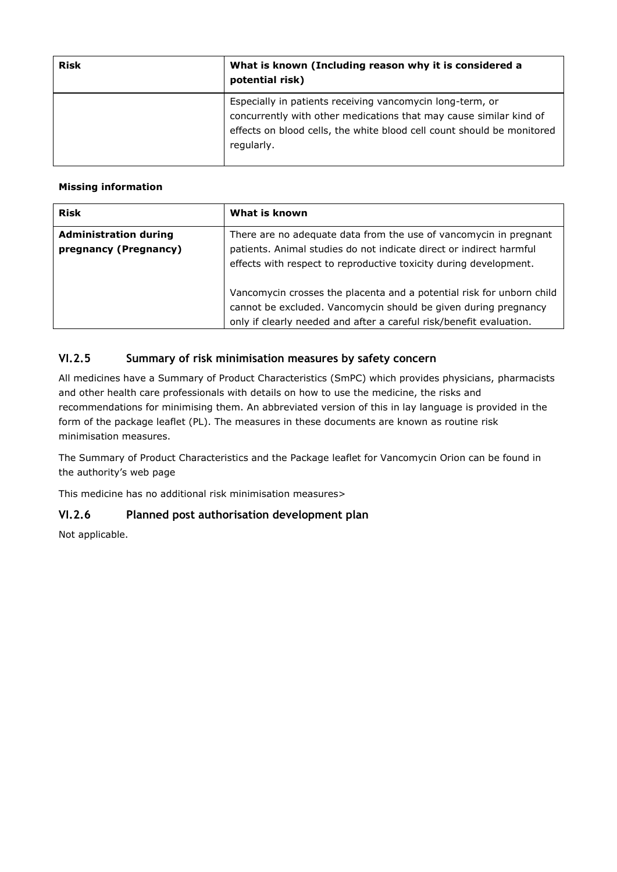| <b>Risk</b> | What is known (Including reason why it is considered a<br>potential risk)                                                                                                                                               |
|-------------|-------------------------------------------------------------------------------------------------------------------------------------------------------------------------------------------------------------------------|
|             | Especially in patients receiving vancomycin long-term, or<br>concurrently with other medications that may cause similar kind of<br>effects on blood cells, the white blood cell count should be monitored<br>regularly. |

#### **Missing information**

| <b>Risk</b>                                           | What is known                                                                                                                                                                                                   |
|-------------------------------------------------------|-----------------------------------------------------------------------------------------------------------------------------------------------------------------------------------------------------------------|
| <b>Administration during</b><br>pregnancy (Pregnancy) | There are no adequate data from the use of vancomycin in pregnant<br>patients. Animal studies do not indicate direct or indirect harmful<br>effects with respect to reproductive toxicity during development.   |
|                                                       | Vancomycin crosses the placenta and a potential risk for unborn child<br>cannot be excluded. Vancomycin should be given during pregnancy<br>only if clearly needed and after a careful risk/benefit evaluation. |

### **VI.2.5 Summary of risk minimisation measures by safety concern**

All medicines have a Summary of Product Characteristics (SmPC) which provides physicians, pharmacists and other health care professionals with details on how to use the medicine, the risks and recommendations for minimising them. An abbreviated version of this in lay language is provided in the form of the package leaflet (PL). The measures in these documents are known as routine risk minimisation measures.

The Summary of Product Characteristics and the Package leaflet for Vancomycin Orion can be found in the authority's web page

This medicine has no additional risk minimisation measures>

### **VI.2.6 Planned post authorisation development plan**

Not applicable.